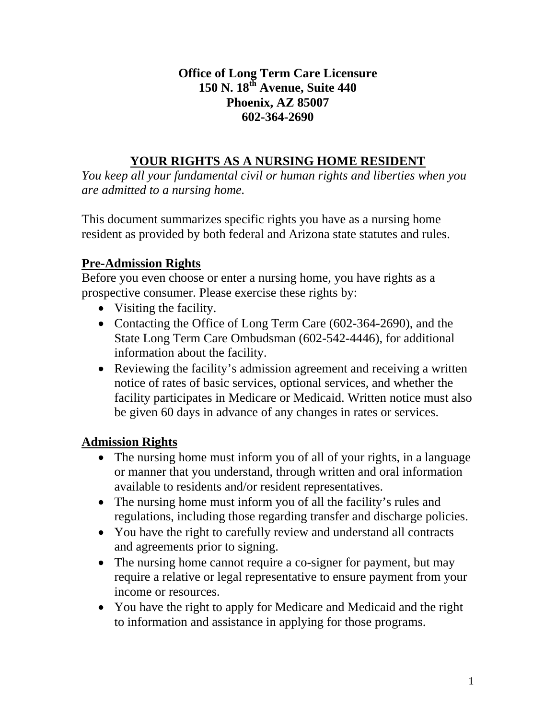### **Office of Long Term Care Licensure 150 N. 18th Avenue, Suite 440 Phoenix, AZ 85007 602-364-2690**

# **YOUR RIGHTS AS A NURSING HOME RESIDENT**

*You keep all your fundamental civil or human rights and liberties when you are admitted to a nursing home.* 

This document summarizes specific rights you have as a nursing home resident as provided by both federal and Arizona state statutes and rules.

## **Pre-Admission Rights**

Before you even choose or enter a nursing home, you have rights as a prospective consumer. Please exercise these rights by:

- Visiting the facility.
- Contacting the Office of Long Term Care (602-364-2690), and the State Long Term Care Ombudsman (602-542-4446), for additional information about the facility.
- Reviewing the facility's admission agreement and receiving a written notice of rates of basic services, optional services, and whether the facility participates in Medicare or Medicaid. Written notice must also be given 60 days in advance of any changes in rates or services.

## **Admission Rights**

- The nursing home must inform you of all of your rights, in a language or manner that you understand, through written and oral information available to residents and/or resident representatives.
- The nursing home must inform you of all the facility's rules and regulations, including those regarding transfer and discharge policies.
- You have the right to carefully review and understand all contracts and agreements prior to signing.
- The nursing home cannot require a co-signer for payment, but may require a relative or legal representative to ensure payment from your income or resources.
- You have the right to apply for Medicare and Medicaid and the right to information and assistance in applying for those programs.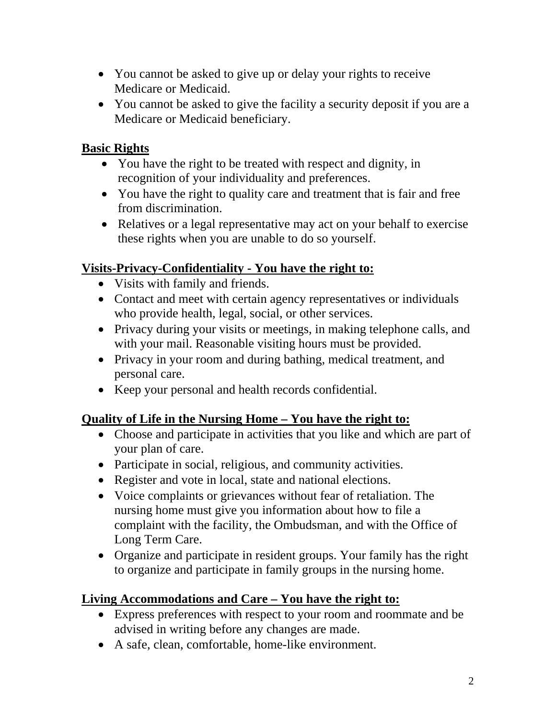- You cannot be asked to give up or delay your rights to receive Medicare or Medicaid.
- You cannot be asked to give the facility a security deposit if you are a Medicare or Medicaid beneficiary.

### **Basic Rights**

- You have the right to be treated with respect and dignity, in recognition of your individuality and preferences.
- You have the right to quality care and treatment that is fair and free from discrimination.
- Relatives or a legal representative may act on your behalf to exercise these rights when you are unable to do so yourself.

### **Visits-Privacy-Confidentiality - You have the right to:**

- Visits with family and friends.
- Contact and meet with certain agency representatives or individuals who provide health, legal, social, or other services.
- Privacy during your visits or meetings, in making telephone calls, and with your mail. Reasonable visiting hours must be provided.
- Privacy in your room and during bathing, medical treatment, and personal care.
- Keep your personal and health records confidential.

## **Quality of Life in the Nursing Home – You have the right to:**

- Choose and participate in activities that you like and which are part of your plan of care.
- Participate in social, religious, and community activities.
- Register and vote in local, state and national elections.
- Voice complaints or grievances without fear of retaliation. The nursing home must give you information about how to file a complaint with the facility, the Ombudsman, and with the Office of Long Term Care.
- Organize and participate in resident groups. Your family has the right to organize and participate in family groups in the nursing home.

## **Living Accommodations and Care – You have the right to:**

- Express preferences with respect to your room and roommate and be advised in writing before any changes are made.
- A safe, clean, comfortable, home-like environment.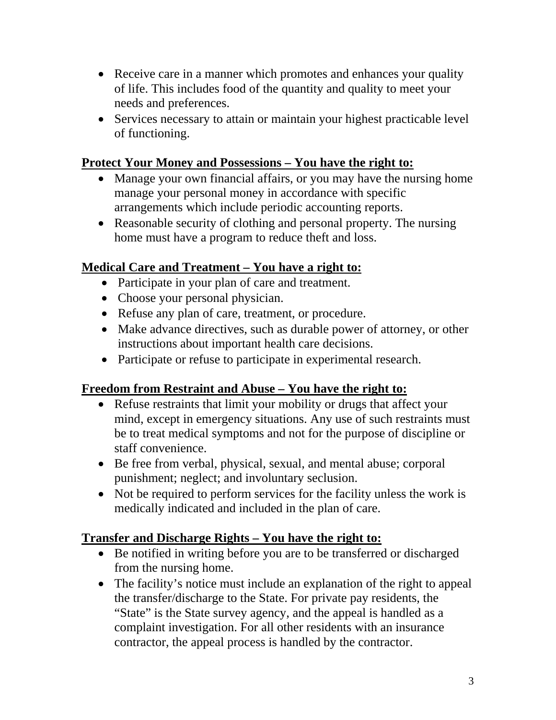- Receive care in a manner which promotes and enhances your quality of life. This includes food of the quantity and quality to meet your needs and preferences.
- Services necessary to attain or maintain your highest practicable level of functioning.

#### **Protect Your Money and Possessions – You have the right to:**

- Manage your own financial affairs, or you may have the nursing home manage your personal money in accordance with specific arrangements which include periodic accounting reports.
- Reasonable security of clothing and personal property. The nursing home must have a program to reduce theft and loss.

#### **Medical Care and Treatment – You have a right to:**

- Participate in your plan of care and treatment.
- Choose your personal physician.
- Refuse any plan of care, treatment, or procedure.
- Make advance directives, such as durable power of attorney, or other instructions about important health care decisions.
- Participate or refuse to participate in experimental research.

### **Freedom from Restraint and Abuse – You have the right to:**

- Refuse restraints that limit your mobility or drugs that affect your mind, except in emergency situations. Any use of such restraints must be to treat medical symptoms and not for the purpose of discipline or staff convenience.
- Be free from verbal, physical, sexual, and mental abuse; corporal punishment; neglect; and involuntary seclusion.
- Not be required to perform services for the facility unless the work is medically indicated and included in the plan of care.

#### **Transfer and Discharge Rights – You have the right to:**

- Be notified in writing before you are to be transferred or discharged from the nursing home.
- The facility's notice must include an explanation of the right to appeal the transfer/discharge to the State. For private pay residents, the "State" is the State survey agency, and the appeal is handled as a complaint investigation. For all other residents with an insurance contractor, the appeal process is handled by the contractor.